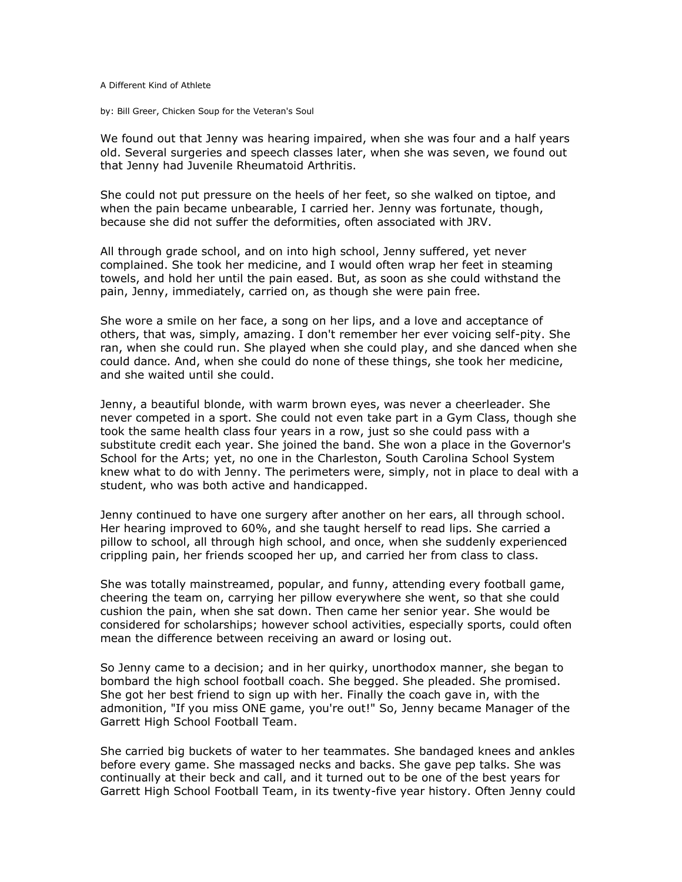## A Different Kind of Athlete

by: Bill Greer, Chicken Soup for the Veteran's Soul

We found out that Jenny was hearing impaired, when she was four and a half years old. Several surgeries and speech classes later, when she was seven, we found out that Jenny had Juvenile Rheumatoid Arthritis.

She could not put pressure on the heels of her feet, so she walked on tiptoe, and when the pain became unbearable, I carried her. Jenny was fortunate, though, because she did not suffer the deformities, often associated with JRV.

All through grade school, and on into high school, Jenny suffered, yet never complained. She took her medicine, and I would often wrap her feet in steaming towels, and hold her until the pain eased. But, as soon as she could withstand the pain, Jenny, immediately, carried on, as though she were pain free.

She wore a smile on her face, a song on her lips, and a love and acceptance of others, that was, simply, amazing. I don't remember her ever voicing self-pity. She ran, when she could run. She played when she could play, and she danced when she could dance. And, when she could do none of these things, she took her medicine, and she waited until she could.

Jenny, a beautiful blonde, with warm brown eyes, was never a cheerleader. She never competed in a sport. She could not even take part in a Gym Class, though she took the same health class four years in a row, just so she could pass with a substitute credit each year. She joined the band. She won a place in the Governor's School for the Arts; yet, no one in the Charleston, South Carolina School System knew what to do with Jenny. The perimeters were, simply, not in place to deal with a student, who was both active and handicapped.

Jenny continued to have one surgery after another on her ears, all through school. Her hearing improved to 60%, and she taught herself to read lips. She carried a pillow to school, all through high school, and once, when she suddenly experienced crippling pain, her friends scooped her up, and carried her from class to class.

She was totally mainstreamed, popular, and funny, attending every football game, cheering the team on, carrying her pillow everywhere she went, so that she could cushion the pain, when she sat down. Then came her senior year. She would be considered for scholarships; however school activities, especially sports, could often mean the difference between receiving an award or losing out.

So Jenny came to a decision; and in her quirky, unorthodox manner, she began to bombard the high school football coach. She begged. She pleaded. She promised. She got her best friend to sign up with her. Finally the coach gave in, with the admonition, "If you miss ONE game, you're out!" So, Jenny became Manager of the Garrett High School Football Team.

She carried big buckets of water to her teammates. She bandaged knees and ankles before every game. She massaged necks and backs. She gave pep talks. She was continually at their beck and call, and it turned out to be one of the best years for Garrett High School Football Team, in its twenty-five year history. Often Jenny could